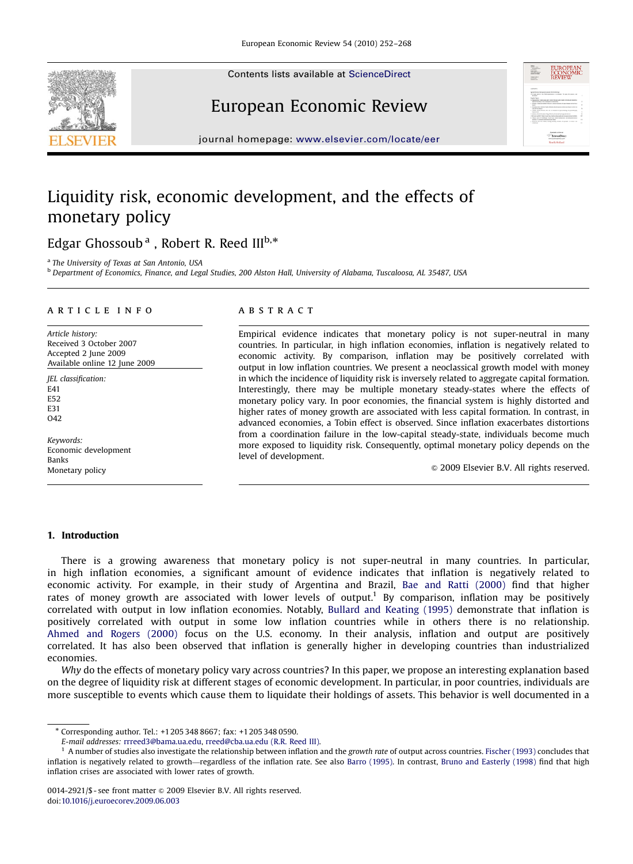Contents lists available at [ScienceDirect](www.sciencedirect.com/science/journal/eer)







journal homepage: <www.elsevier.com/locate/eer>

## Liquidity risk, economic development, and the effects of monetary policy

Edgar Ghossoub<sup>a</sup> , Robert R. Reed III<sup>b,\*</sup>

<sup>a</sup> The University of Texas at San Antonio, USA

<sup>b</sup> Department of Economics, Finance, and Legal Studies, 200 Alston Hall, University of Alabama, Tuscaloosa, AL 35487, USA

#### article info

Article history: Received 3 October 2007 Accepted 2 June 2009 Available online 12 June 2009

JEL classification: E41 E52 E31 O<sub>42</sub>

Keywords: Economic development Banks Monetary policy

#### **ABSTRACT**

Empirical evidence indicates that monetary policy is not super-neutral in many countries. In particular, in high inflation economies, inflation is negatively related to economic activity. By comparison, inflation may be positively correlated with output in low inflation countries. We present a neoclassical growth model with money in which the incidence of liquidity risk is inversely related to aggregate capital formation. Interestingly, there may be multiple monetary steady-states where the effects of monetary policy vary. In poor economies, the financial system is highly distorted and higher rates of money growth are associated with less capital formation. In contrast, in advanced economies, a Tobin effect is observed. Since inflation exacerbates distortions from a coordination failure in the low-capital steady-state, individuals become much more exposed to liquidity risk. Consequently, optimal monetary policy depends on the level of development.

 $\odot$  2009 Elsevier B.V. All rights reserved.

### 1. Introduction

There is a growing awareness that monetary policy is not super-neutral in many countries. In particular, in high inflation economies, a significant amount of evidence indicates that inflation is negatively related to economic activity. For example, in their study of Argentina and Brazil, [Bae and Ratti \(2000\)](#page--1-0) find that higher rates of money growth are associated with lower levels of output.<sup>1</sup> By comparison, inflation may be positively correlated with output in low inflation economies. Notably, [Bullard and Keating \(1995\)](#page--1-0) demonstrate that inflation is positively correlated with output in some low inflation countries while in others there is no relationship. [Ahmed and Rogers \(2000\)](#page--1-0) focus on the U.S. economy. In their analysis, inflation and output are positively correlated. It has also been observed that inflation is generally higher in developing countries than industrialized economies.

Why do the effects of monetary policy vary across countries? In this paper, we propose an interesting explanation based on the degree of liquidity risk at different stages of economic development. In particular, in poor countries, individuals are more susceptible to events which cause them to liquidate their holdings of assets. This behavior is well documented in a

<sup>-</sup> Corresponding author. Tel.: +1 205 348 8667; fax: +1 205 348 0590.

E-mail addresses: [rrreed3@bama.ua.edu](mailto:rrreed3@bama.ua.edu,), [rreed@cba.ua.edu \(R.R. Reed III\).](mailto:rreed@cba.ua.edu)

 $1$  A number of studies also investigate the relationship between inflation and the growth rate of output across countries. [Fischer \(1993\)](#page--1-0) concludes that inflation is negatively related to growth—regardless of the inflation rate. See also [Barro \(1995\).](#page--1-0) In contrast, [Bruno and Easterly \(1998\)](#page--1-0) find that high inflation crises are associated with lower rates of growth.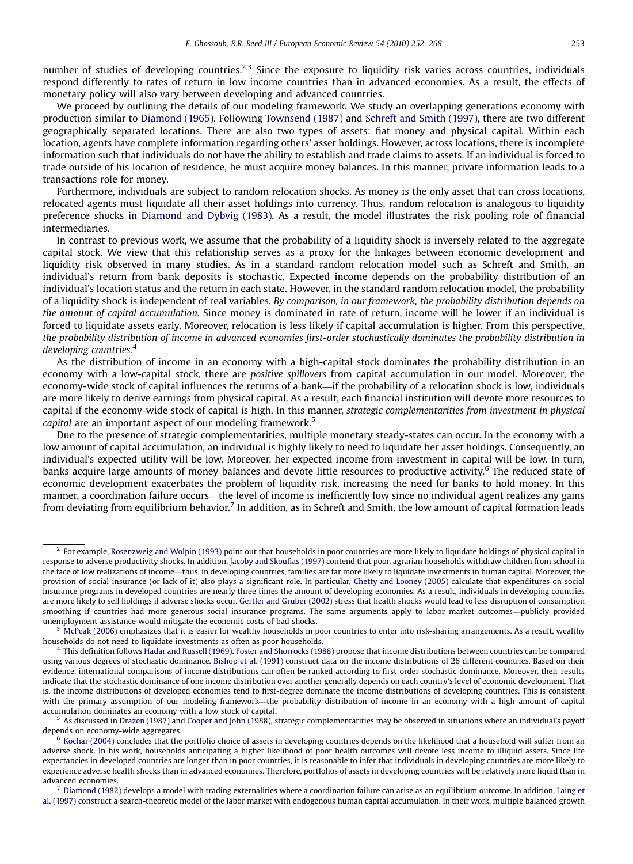number of studies of developing countries.<sup>2,3</sup> Since the exposure to liquidity risk varies across countries, individuals respond differently to rates of return in low income countries than in advanced economies. As a result, the effects of monetary policy will also vary between developing and advanced countries.

We proceed by outlining the details of our modeling framework. We study an overlapping generations economy with production similar to [Diamond \(1965\).](#page--1-0) Following [Townsend \(1987\)](#page--1-0) and [Schreft and Smith \(1997\),](#page--1-0) there are two different geographically separated locations. There are also two types of assets: fiat money and physical capital. Within each location, agents have complete information regarding others' asset holdings. However, across locations, there is incomplete information such that individuals do not have the ability to establish and trade claims to assets. If an individual is forced to trade outside of his location of residence, he must acquire money balances. In this manner, private information leads to a transactions role for money.

Furthermore, individuals are subject to random relocation shocks. As money is the only asset that can cross locations, relocated agents must liquidate all their asset holdings into currency. Thus, random relocation is analogous to liquidity preference shocks in [Diamond and Dybvig \(1983\).](#page--1-0) As a result, the model illustrates the risk pooling role of financial intermediaries.

In contrast to previous work, we assume that the probability of a liquidity shock is inversely related to the aggregate capital stock. We view that this relationship serves as a proxy for the linkages between economic development and liquidity risk observed in many studies. As in a standard random relocation model such as Schreft and Smith, an individual's return from bank deposits is stochastic. Expected income depends on the probability distribution of an individual's location status and the return in each state. However, in the standard random relocation model, the probability of a liquidity shock is independent of real variables. By comparison, in our framework, the probability distribution depends on the amount of capital accumulation. Since money is dominated in rate of return, income will be lower if an individual is forced to liquidate assets early. Moreover, relocation is less likely if capital accumulation is higher. From this perspective, the probability distribution of income in advanced economies first-order stochastically dominates the probability distribution in developing countries.<sup>4</sup>

As the distribution of income in an economy with a high-capital stock dominates the probability distribution in an economy with a low-capital stock, there are positive spillovers from capital accumulation in our model. Moreover, the economy-wide stock of capital influences the returns of a bank—if the probability of a relocation shock is low, individuals are more likely to derive earnings from physical capital. As a result, each financial institution will devote more resources to capital if the economy-wide stock of capital is high. In this manner, strategic complementarities from investment in physical capital are an important aspect of our modeling framework.<sup>5</sup>

Due to the presence of strategic complementarities, multiple monetary steady-states can occur. In the economy with a low amount of capital accumulation, an individual is highly likely to need to liquidate her asset holdings. Consequently, an individual's expected utility will be low. Moreover, her expected income from investment in capital will be low. In turn, banks acquire large amounts of money balances and devote little resources to productive activity.<sup>6</sup> The reduced state of economic development exacerbates the problem of liquidity risk, increasing the need for banks to hold money. In this manner, a coordination failure occurs—the level of income is inefficiently low since no individual agent realizes any gains from deviating from equilibrium behavior.<sup>7</sup> In addition, as in Schreft and Smith, the low amount of capital formation leads

As discussed in [Drazen \(1987\)](#page--1-0) and [Cooper and John \(1988\)](#page--1-0), strategic complementarities may be observed in situations where an individual's payoff depends on economy-wide aggregates.

 $2$  For example, [Rosenzweig and Wolpin \(1993\)](#page--1-0) point out that households in poor countries are more likely to liquidate holdings of physical capital in response to adverse productivity shocks. In addition, [Jacoby and Skoufias \(1997\)](#page--1-0) contend that poor, agrarian households withdraw children from school in the face of low realizations of income—thus, in developing countries, families are far more likely to liquidate investments in human capital. Moreover, the provision of social insurance (or lack of it) also plays a significant role. In particular, [Chetty and Looney \(2005\)](#page--1-0) calculate that expenditures on social insurance programs in developed countries are nearly three times the amount of developing economies. As a result, individuals in developing countries are more likely to sell holdings if adverse shocks occur. [Gertler and Gruber \(2002\)](#page--1-0) stress that health shocks would lead to less disruption of consumption smoothing if countries had more generous social insurance programs. The same arguments apply to labor market outcomes—publicly provided unemployment assistance would mitigate the economic costs of bad shocks.

 $3$  [McPeak \(2006\)](#page--1-0) emphasizes that it is easier for wealthy households in poor countries to enter into risk-sharing arrangements. As a result, wealthy households do not need to liquidate investments as often as poor households.

<sup>4</sup> This definition follows [Hadar and Russell \(1969\).](#page--1-0) [Foster and Shorrocks \(1988\)](#page--1-0) propose that income distributions between countries can be compared using various degrees of stochastic dominance. [Bishop et al. \(1991\)](#page--1-0) construct data on the income distributions of 26 different countries. Based on their evidence, international comparisons of income distributions can often be ranked according to first-order stochastic dominance. Moreover, their results indicate that the stochastic dominance of one income distribution over another generally depends on each country's level of economic development. That is, the income distributions of developed economies tend to first-degree dominate the income distributions of developing countries. This is consistent with the primary assumption of our modeling framework—the probability distribution of income in an economy with a high amount of capital accumulation dominates an economy with a low stock of capital.

 $6$  [Kochar \(2004\)](#page--1-0) concludes that the portfolio choice of assets in developing countries depends on the likelihood that a household will suffer from an adverse shock. In his work, households anticipating a higher likelihood of poor health outcomes will devote less income to illiquid assets. Since life expectancies in developed countries are longer than in poor countries, it is reasonable to infer that individuals in developing countries are more likely to experience adverse health shocks than in advanced economies. Therefore, portfolios of assets in developing countries will be relatively more liquid than in advanced economies.

 $^7$  [Diamond \(1982\)](#page--1-0) develops a model with trading externalities where a coordination failure can arise as an equilibrium outcome. In addition, [Laing et](#page--1-0) [al. \(1997\)](#page--1-0) construct a search-theoretic model of the labor market with endogenous human capital accumulation. In their work, multiple balanced growth